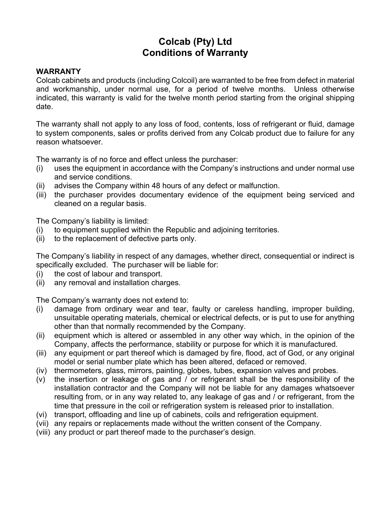# **Colcab (Pty) Ltd Conditions of Warranty**

## **WARRANTY**

Colcab cabinets and products (including Colcoil) are warranted to be free from defect in material and workmanship, under normal use, for a period of twelve months. Unless otherwise indicated, this warranty is valid for the twelve month period starting from the original shipping date.

The warranty shall not apply to any loss of food, contents, loss of refrigerant or fluid, damage to system components, sales or profits derived from any Colcab product due to failure for any reason whatsoever.

The warranty is of no force and effect unless the purchaser:

- (i) uses the equipment in accordance with the Company's instructions and under normal use and service conditions.
- (ii) advises the Company within 48 hours of any defect or malfunction.
- (iii) the purchaser provides documentary evidence of the equipment being serviced and cleaned on a regular basis.

The Company's liability is limited:

- (i) to equipment supplied within the Republic and adjoining territories.
- (ii) to the replacement of defective parts only.

The Company's liability in respect of any damages, whether direct, consequential or indirect is specifically excluded. The purchaser will be liable for:

- (i) the cost of labour and transport.
- (ii) any removal and installation charges.

The Company's warranty does not extend to:

- (i) damage from ordinary wear and tear, faulty or careless handling, improper building, unsuitable operating materials, chemical or electrical defects, or is put to use for anything other than that normally recommended by the Company.
- (ii) equipment which is altered or assembled in any other way which, in the opinion of the Company, affects the performance, stability or purpose for which it is manufactured.
- (iii) any equipment or part thereof which is damaged by fire, flood, act of God, or any original model or serial number plate which has been altered, defaced or removed.
- (iv) thermometers, glass, mirrors, painting, globes, tubes, expansion valves and probes.
- (v) the insertion or leakage of gas and / or refrigerant shall be the responsibility of the installation contractor and the Company will not be liable for any damages whatsoever resulting from, or in any way related to, any leakage of gas and / or refrigerant, from the time that pressure in the coil or refrigeration system is released prior to installation.
- (vi) transport, offloading and line up of cabinets, coils and refrigeration equipment.
- (vii) any repairs or replacements made without the written consent of the Company.
- (viii) any product or part thereof made to the purchaser's design.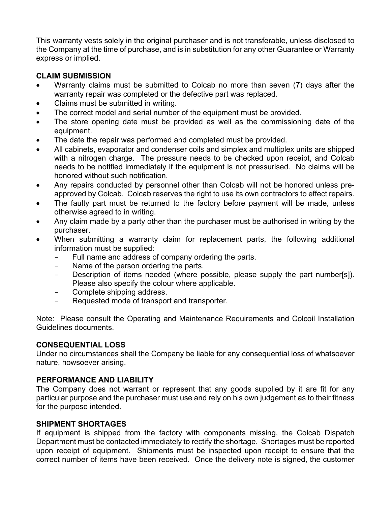This warranty vests solely in the original purchaser and is not transferable, unless disclosed to the Company at the time of purchase, and is in substitution for any other Guarantee or Warranty express or implied.

### **CLAIM SUBMISSION**

- Warranty claims must be submitted to Colcab no more than seven (7) days after the warranty repair was completed or the defective part was replaced.
- Claims must be submitted in writing.
- The correct model and serial number of the equipment must be provided.
- The store opening date must be provided as well as the commissioning date of the equipment.
- The date the repair was performed and completed must be provided.
- All cabinets, evaporator and condenser coils and simplex and multiplex units are shipped with a nitrogen charge. The pressure needs to be checked upon receipt, and Colcab needs to be notified immediately if the equipment is not pressurised. No claims will be honored without such notification.
- Any repairs conducted by personnel other than Colcab will not be honored unless preapproved by Colcab. Colcab reserves the right to use its own contractors to effect repairs.
- The faulty part must be returned to the factory before payment will be made, unless otherwise agreed to in writing.
- Any claim made by a party other than the purchaser must be authorised in writing by the purchaser.
- When submitting a warranty claim for replacement parts, the following additional information must be supplied:
	- Full name and address of company ordering the parts.
	- Name of the person ordering the parts.
	- Description of items needed (where possible, please supply the part number[s]). Please also specify the colour where applicable.
	- Complete shipping address.
	- Requested mode of transport and transporter.

Note: Please consult the Operating and Maintenance Requirements and Colcoil Installation Guidelines documents.

#### **CONSEQUENTIAL LOSS**

Under no circumstances shall the Company be liable for any consequential loss of whatsoever nature, howsoever arising.

## **PERFORMANCE AND LIABILITY**

The Company does not warrant or represent that any goods supplied by it are fit for any particular purpose and the purchaser must use and rely on his own judgement as to their fitness for the purpose intended.

#### **SHIPMENT SHORTAGES**

If equipment is shipped from the factory with components missing, the Colcab Dispatch Department must be contacted immediately to rectify the shortage. Shortages must be reported upon receipt of equipment. Shipments must be inspected upon receipt to ensure that the correct number of items have been received. Once the delivery note is signed, the customer